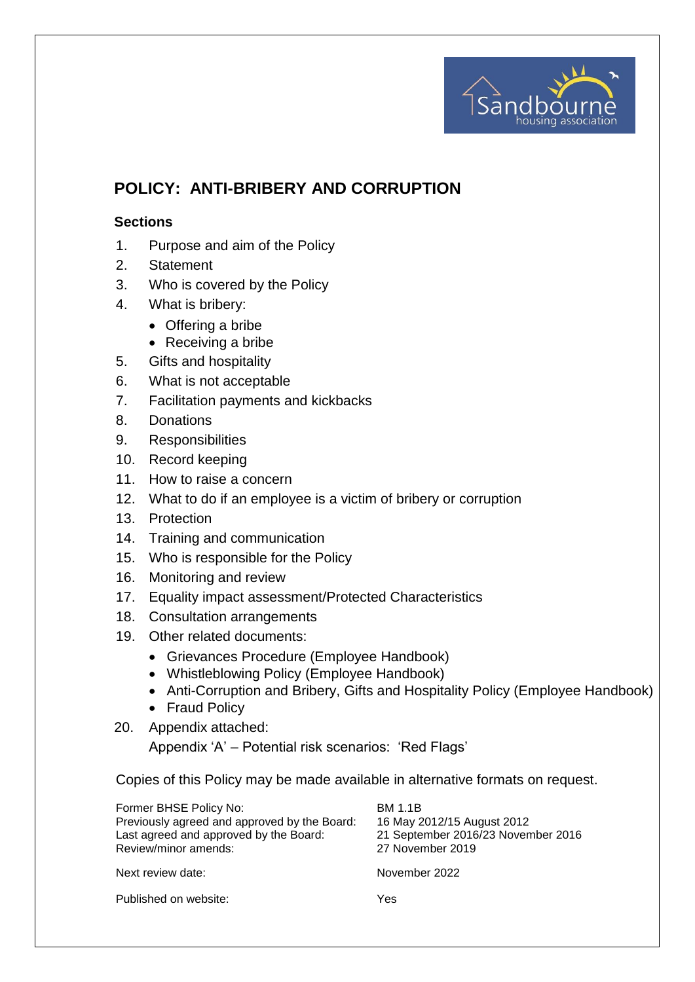

# **POLICY: ANTI-BRIBERY AND CORRUPTION**

#### **Sections**

- 1. Purpose and aim of the Policy
- 2. Statement
- 3. Who is covered by the Policy
- 4. What is bribery:
	- Offering a bribe
	- Receiving a bribe
- 5. Gifts and hospitality
- 6. What is not acceptable
- 7. Facilitation payments and kickbacks
- 8. Donations
- 9. Responsibilities
- 10. Record keeping
- 11. How to raise a concern
- 12. What to do if an employee is a victim of bribery or corruption
- 13. Protection
- 14. Training and communication
- 15. Who is responsible for the Policy
- 16. Monitoring and review
- 17. Equality impact assessment/Protected Characteristics
- 18. Consultation arrangements
- 19. Other related documents:
	- Grievances Procedure (Employee Handbook)
	- Whistleblowing Policy (Employee Handbook)
	- Anti-Corruption and Bribery, Gifts and Hospitality Policy (Employee Handbook)
	- Fraud Policy
- 20. Appendix attached:

Appendix 'A' – Potential risk scenarios: 'Red Flags'

Copies of this Policy may be made available in alternative formats on request.

| Former BHSE Policy No:<br>Previously agreed and approved by the Board:<br>Last agreed and approved by the Board:<br>Review/minor amends: | <b>BM 1.1B</b><br>16 May 2012/15 August 2012<br>21 September 2016/23 November 2016<br>27 November 2019 |
|------------------------------------------------------------------------------------------------------------------------------------------|--------------------------------------------------------------------------------------------------------|
| Next review date:                                                                                                                        | November 2022                                                                                          |
| Published on website:                                                                                                                    | Yes                                                                                                    |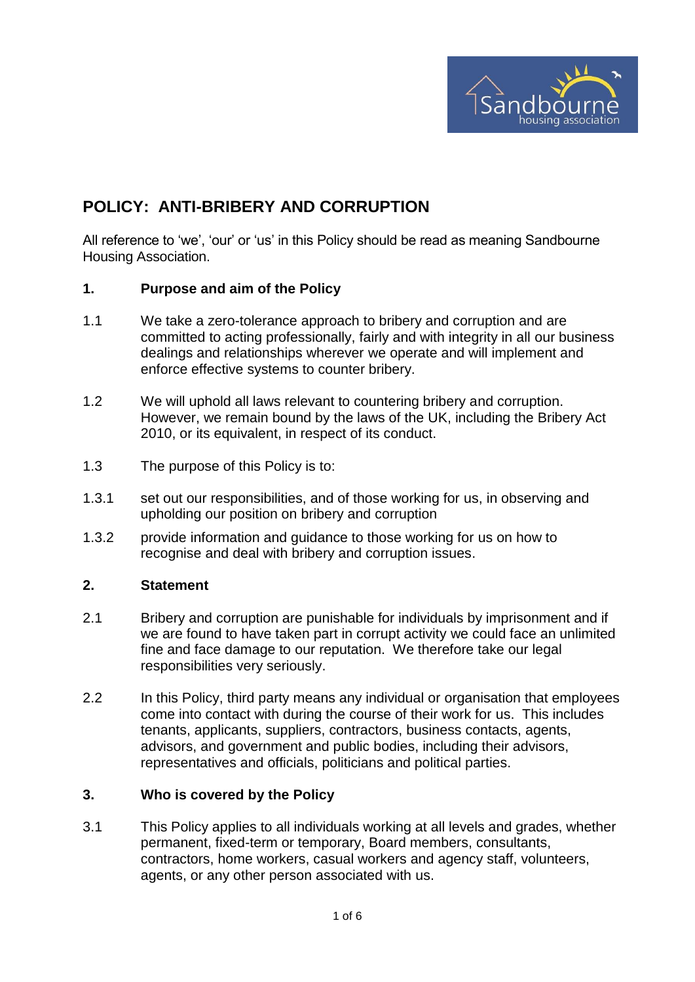

## **POLICY: ANTI-BRIBERY AND CORRUPTION**

All reference to 'we', 'our' or 'us' in this Policy should be read as meaning Sandbourne Housing Association.

#### **1. Purpose and aim of the Policy**

- 1.1 We take a zero-tolerance approach to bribery and corruption and are committed to acting professionally, fairly and with integrity in all our business dealings and relationships wherever we operate and will implement and enforce effective systems to counter bribery.
- 1.2 We will uphold all laws relevant to countering bribery and corruption. However, we remain bound by the laws of the UK, including the Bribery Act 2010, or its equivalent, in respect of its conduct.
- 1.3 The purpose of this Policy is to:
- 1.3.1 set out our responsibilities, and of those working for us, in observing and upholding our position on bribery and corruption
- 1.3.2 provide information and guidance to those working for us on how to recognise and deal with bribery and corruption issues.

#### **2. Statement**

- 2.1 Bribery and corruption are punishable for individuals by imprisonment and if we are found to have taken part in corrupt activity we could face an unlimited fine and face damage to our reputation. We therefore take our legal responsibilities very seriously.
- 2.2 In this Policy, third party means any individual or organisation that employees come into contact with during the course of their work for us. This includes tenants, applicants, suppliers, contractors, business contacts, agents, advisors, and government and public bodies, including their advisors, representatives and officials, politicians and political parties.

#### **3. Who is covered by the Policy**

3.1 This Policy applies to all individuals working at all levels and grades, whether permanent, fixed-term or temporary, Board members, consultants, contractors, home workers, casual workers and agency staff, volunteers, agents, or any other person associated with us.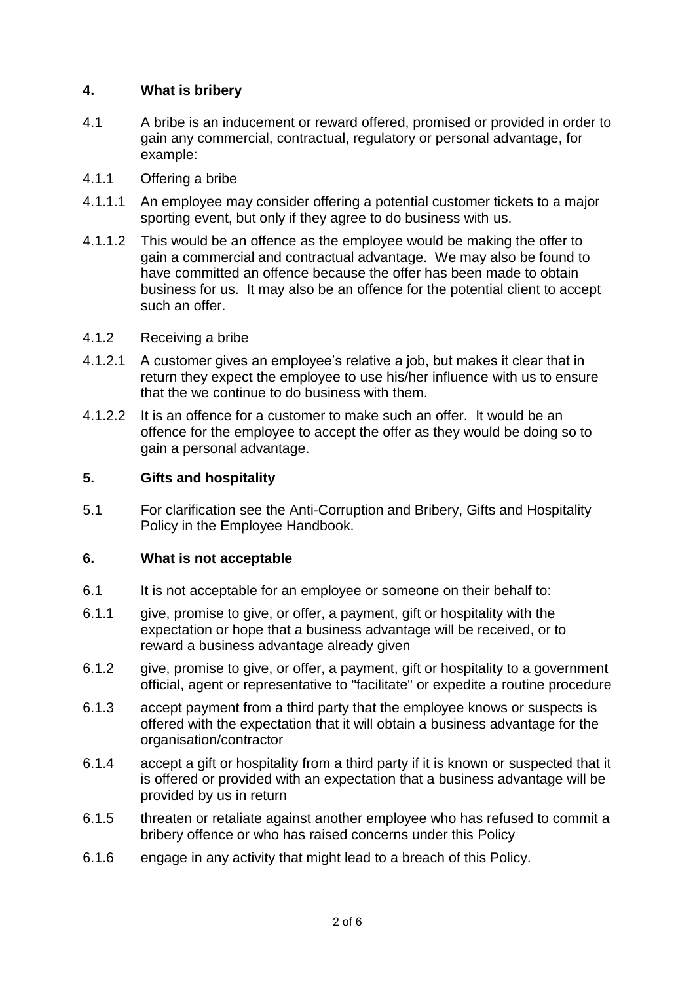## **4. What is bribery**

- 4.1 A bribe is an inducement or reward offered, promised or provided in order to gain any commercial, contractual, regulatory or personal advantage, for example:
- 4.1.1 Offering a bribe
- 4.1.1.1 An employee may consider offering a potential customer tickets to a major sporting event, but only if they agree to do business with us.
- 4.1.1.2 This would be an offence as the employee would be making the offer to gain a commercial and contractual advantage. We may also be found to have committed an offence because the offer has been made to obtain business for us. It may also be an offence for the potential client to accept such an offer.
- 4.1.2 Receiving a bribe
- 4.1.2.1 A customer gives an employee's relative a job, but makes it clear that in return they expect the employee to use his/her influence with us to ensure that the we continue to do business with them.
- 4.1.2.2 It is an offence for a customer to make such an offer. It would be an offence for the employee to accept the offer as they would be doing so to gain a personal advantage.

#### **5. Gifts and hospitality**

5.1 For clarification see the Anti-Corruption and Bribery, Gifts and Hospitality Policy in the Employee Handbook.

#### **6. What is not acceptable**

- 6.1 It is not acceptable for an employee or someone on their behalf to:
- 6.1.1 give, promise to give, or offer, a payment, gift or hospitality with the expectation or hope that a business advantage will be received, or to reward a business advantage already given
- 6.1.2 give, promise to give, or offer, a payment, gift or hospitality to a government official, agent or representative to "facilitate" or expedite a routine procedure
- 6.1.3 accept payment from a third party that the employee knows or suspects is offered with the expectation that it will obtain a business advantage for the organisation/contractor
- 6.1.4 accept a gift or hospitality from a third party if it is known or suspected that it is offered or provided with an expectation that a business advantage will be provided by us in return
- 6.1.5 threaten or retaliate against another employee who has refused to commit a bribery offence or who has raised concerns under this Policy
- 6.1.6 engage in any activity that might lead to a breach of this Policy.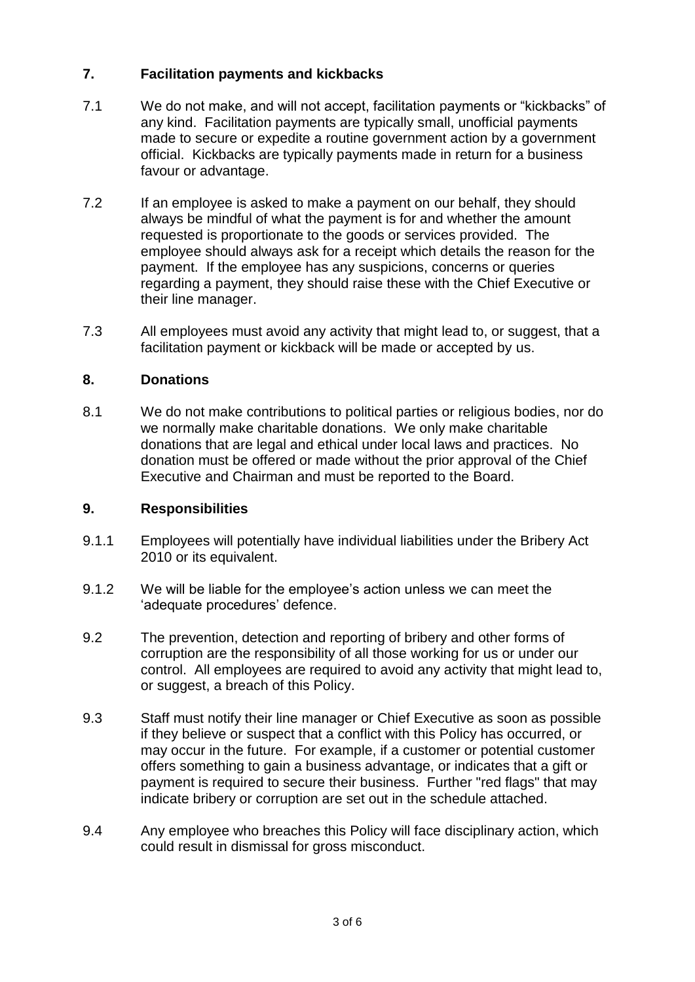## **7. Facilitation payments and kickbacks**

- 7.1 We do not make, and will not accept, facilitation payments or "kickbacks" of any kind. Facilitation payments are typically small, unofficial payments made to secure or expedite a routine government action by a government official. Kickbacks are typically payments made in return for a business favour or advantage.
- 7.2 If an employee is asked to make a payment on our behalf, they should always be mindful of what the payment is for and whether the amount requested is proportionate to the goods or services provided. The employee should always ask for a receipt which details the reason for the payment. If the employee has any suspicions, concerns or queries regarding a payment, they should raise these with the Chief Executive or their line manager.
- 7.3 All employees must avoid any activity that might lead to, or suggest, that a facilitation payment or kickback will be made or accepted by us.

## **8. Donations**

8.1 We do not make contributions to political parties or religious bodies, nor do we normally make charitable donations. We only make charitable donations that are legal and ethical under local laws and practices. No donation must be offered or made without the prior approval of the Chief Executive and Chairman and must be reported to the Board.

## **9. Responsibilities**

- 9.1.1 Employees will potentially have individual liabilities under the Bribery Act 2010 or its equivalent.
- 9.1.2 We will be liable for the employee's action unless we can meet the 'adequate procedures' defence.
- 9.2 The prevention, detection and reporting of bribery and other forms of corruption are the responsibility of all those working for us or under our control. All employees are required to avoid any activity that might lead to, or suggest, a breach of this Policy.
- 9.3 Staff must notify their line manager or Chief Executive as soon as possible if they believe or suspect that a conflict with this Policy has occurred, or may occur in the future. For example, if a customer or potential customer offers something to gain a business advantage, or indicates that a gift or payment is required to secure their business. Further "red flags" that may indicate bribery or corruption are set out in the schedule attached.
- 9.4 Any employee who breaches this Policy will face disciplinary action, which could result in dismissal for gross misconduct.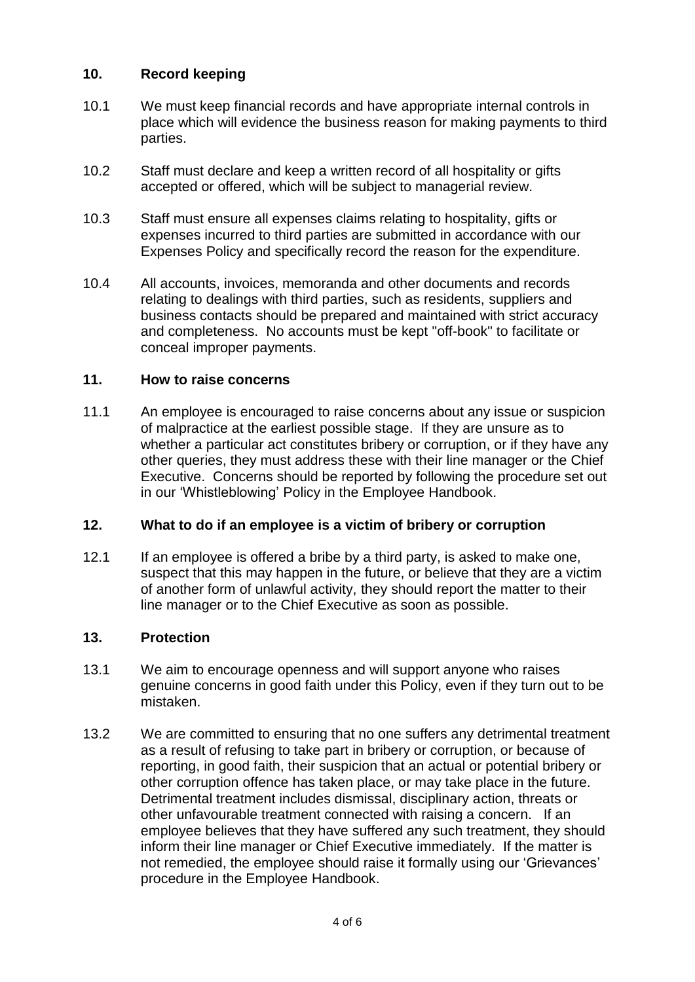## **10. Record keeping**

- 10.1 We must keep financial records and have appropriate internal controls in place which will evidence the business reason for making payments to third parties.
- 10.2 Staff must declare and keep a written record of all hospitality or gifts accepted or offered, which will be subject to managerial review.
- 10.3 Staff must ensure all expenses claims relating to hospitality, gifts or expenses incurred to third parties are submitted in accordance with our Expenses Policy and specifically record the reason for the expenditure.
- 10.4 All accounts, invoices, memoranda and other documents and records relating to dealings with third parties, such as residents, suppliers and business contacts should be prepared and maintained with strict accuracy and completeness. No accounts must be kept "off-book" to facilitate or conceal improper payments.

#### **11. How to raise concerns**

11.1 An employee is encouraged to raise concerns about any issue or suspicion of malpractice at the earliest possible stage. If they are unsure as to whether a particular act constitutes bribery or corruption, or if they have any other queries, they must address these with their line manager or the Chief Executive. Concerns should be reported by following the procedure set out in our 'Whistleblowing' Policy in the Employee Handbook.

## **12. What to do if an employee is a victim of bribery or corruption**

12.1 If an employee is offered a bribe by a third party, is asked to make one, suspect that this may happen in the future, or believe that they are a victim of another form of unlawful activity, they should report the matter to their line manager or to the Chief Executive as soon as possible.

## **13. Protection**

- 13.1 We aim to encourage openness and will support anyone who raises genuine concerns in good faith under this Policy, even if they turn out to be mistaken.
- 13.2 We are committed to ensuring that no one suffers any detrimental treatment as a result of refusing to take part in bribery or corruption, or because of reporting, in good faith, their suspicion that an actual or potential bribery or other corruption offence has taken place, or may take place in the future. Detrimental treatment includes dismissal, disciplinary action, threats or other unfavourable treatment connected with raising a concern. If an employee believes that they have suffered any such treatment, they should inform their line manager or Chief Executive immediately. If the matter is not remedied, the employee should raise it formally using our 'Grievances' procedure in the Employee Handbook.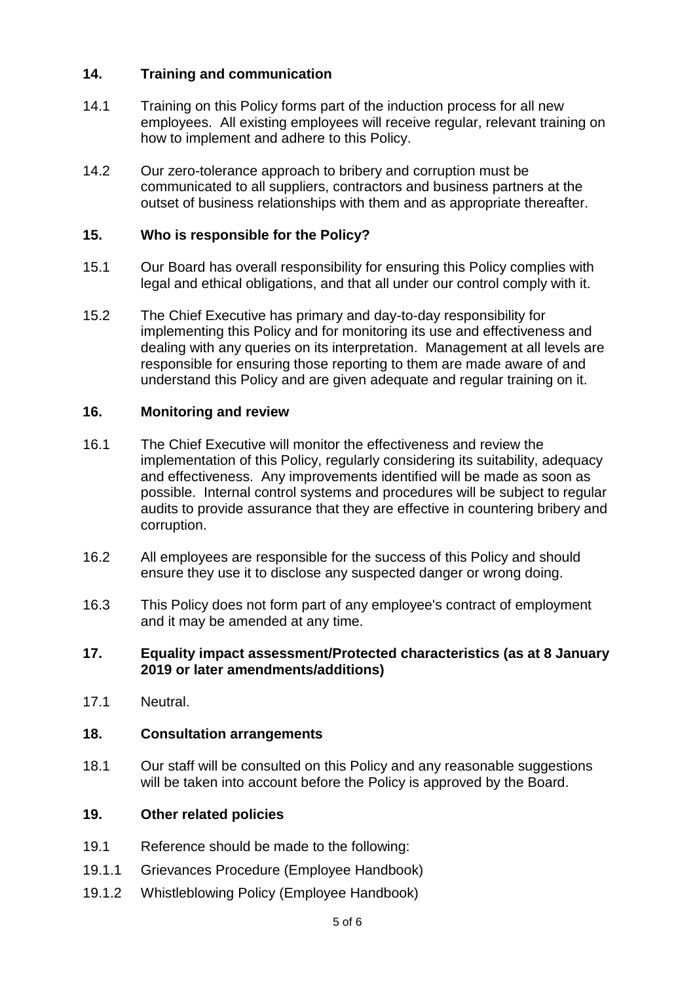## **14. Training and communication**

- 14.1 Training on this Policy forms part of the induction process for all new employees. All existing employees will receive regular, relevant training on how to implement and adhere to this Policy.
- 14.2 Our zero-tolerance approach to bribery and corruption must be communicated to all suppliers, contractors and business partners at the outset of business relationships with them and as appropriate thereafter.

#### **15. Who is responsible for the Policy?**

- 15.1 Our Board has overall responsibility for ensuring this Policy complies with legal and ethical obligations, and that all under our control comply with it.
- 15.2 The Chief Executive has primary and day-to-day responsibility for implementing this Policy and for monitoring its use and effectiveness and dealing with any queries on its interpretation. Management at all levels are responsible for ensuring those reporting to them are made aware of and understand this Policy and are given adequate and regular training on it.

#### **16. Monitoring and review**

- 16.1 The Chief Executive will monitor the effectiveness and review the implementation of this Policy, regularly considering its suitability, adequacy and effectiveness. Any improvements identified will be made as soon as possible. Internal control systems and procedures will be subject to regular audits to provide assurance that they are effective in countering bribery and corruption.
- 16.2 All employees are responsible for the success of this Policy and should ensure they use it to disclose any suspected danger or wrong doing.
- 16.3 This Policy does not form part of any employee's contract of employment and it may be amended at any time.

#### **17. Equality impact assessment/Protected characteristics (as at 8 January 2019 or later amendments/additions)**

17.1 Neutral.

#### **18. Consultation arrangements**

18.1 Our staff will be consulted on this Policy and any reasonable suggestions will be taken into account before the Policy is approved by the Board.

#### **19. Other related policies**

- 19.1 Reference should be made to the following:
- 19.1.1 Grievances Procedure (Employee Handbook)
- 19.1.2 Whistleblowing Policy (Employee Handbook)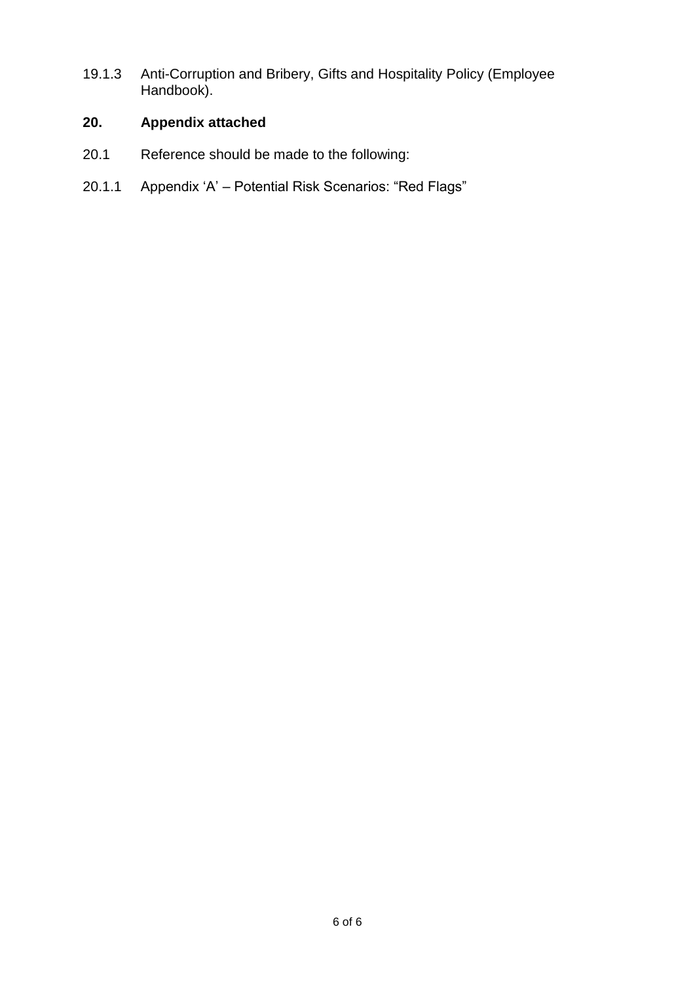19.1.3 Anti-Corruption and Bribery, Gifts and Hospitality Policy (Employee Handbook).

## **20. Appendix attached**

- 20.1 Reference should be made to the following:
- 20.1.1 Appendix 'A' Potential Risk Scenarios: "Red Flags"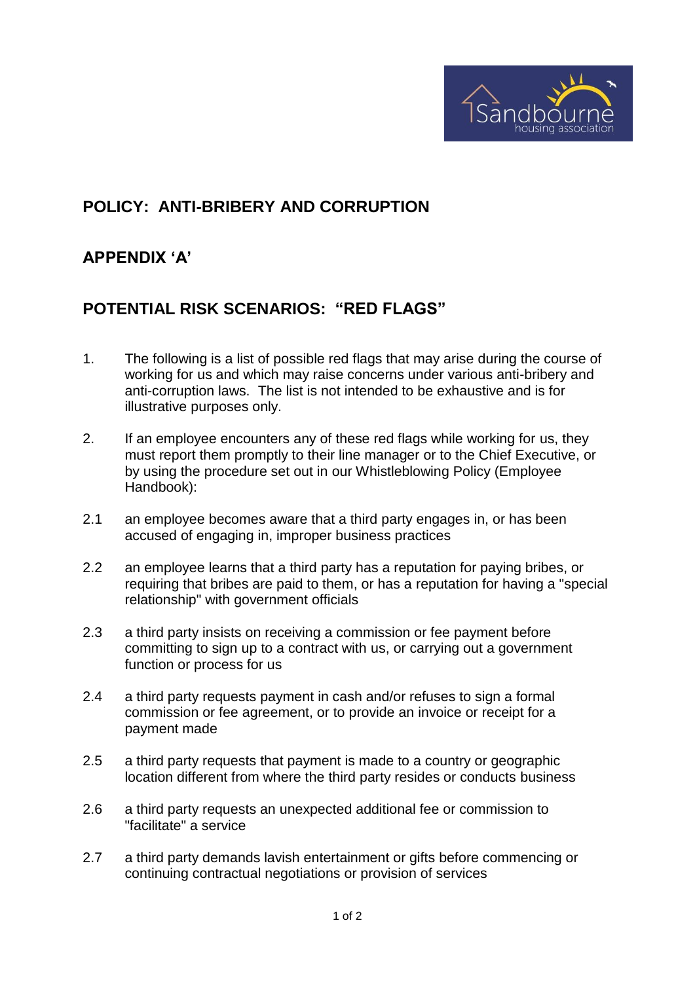

## **POLICY: ANTI-BRIBERY AND CORRUPTION**

## **APPENDIX 'A'**

## **POTENTIAL RISK SCENARIOS: "RED FLAGS"**

- 1. The following is a list of possible red flags that may arise during the course of working for us and which may raise concerns under various anti-bribery and anti-corruption laws. The list is not intended to be exhaustive and is for illustrative purposes only.
- 2. If an employee encounters any of these red flags while working for us, they must report them promptly to their line manager or to the Chief Executive, or by using the procedure set out in our Whistleblowing Policy (Employee Handbook):
- 2.1 an employee becomes aware that a third party engages in, or has been accused of engaging in, improper business practices
- 2.2 an employee learns that a third party has a reputation for paying bribes, or requiring that bribes are paid to them, or has a reputation for having a "special relationship" with government officials
- 2.3 a third party insists on receiving a commission or fee payment before committing to sign up to a contract with us, or carrying out a government function or process for us
- 2.4 a third party requests payment in cash and/or refuses to sign a formal commission or fee agreement, or to provide an invoice or receipt for a payment made
- 2.5 a third party requests that payment is made to a country or geographic location different from where the third party resides or conducts business
- 2.6 a third party requests an unexpected additional fee or commission to "facilitate" a service
- 2.7 a third party demands lavish entertainment or gifts before commencing or continuing contractual negotiations or provision of services